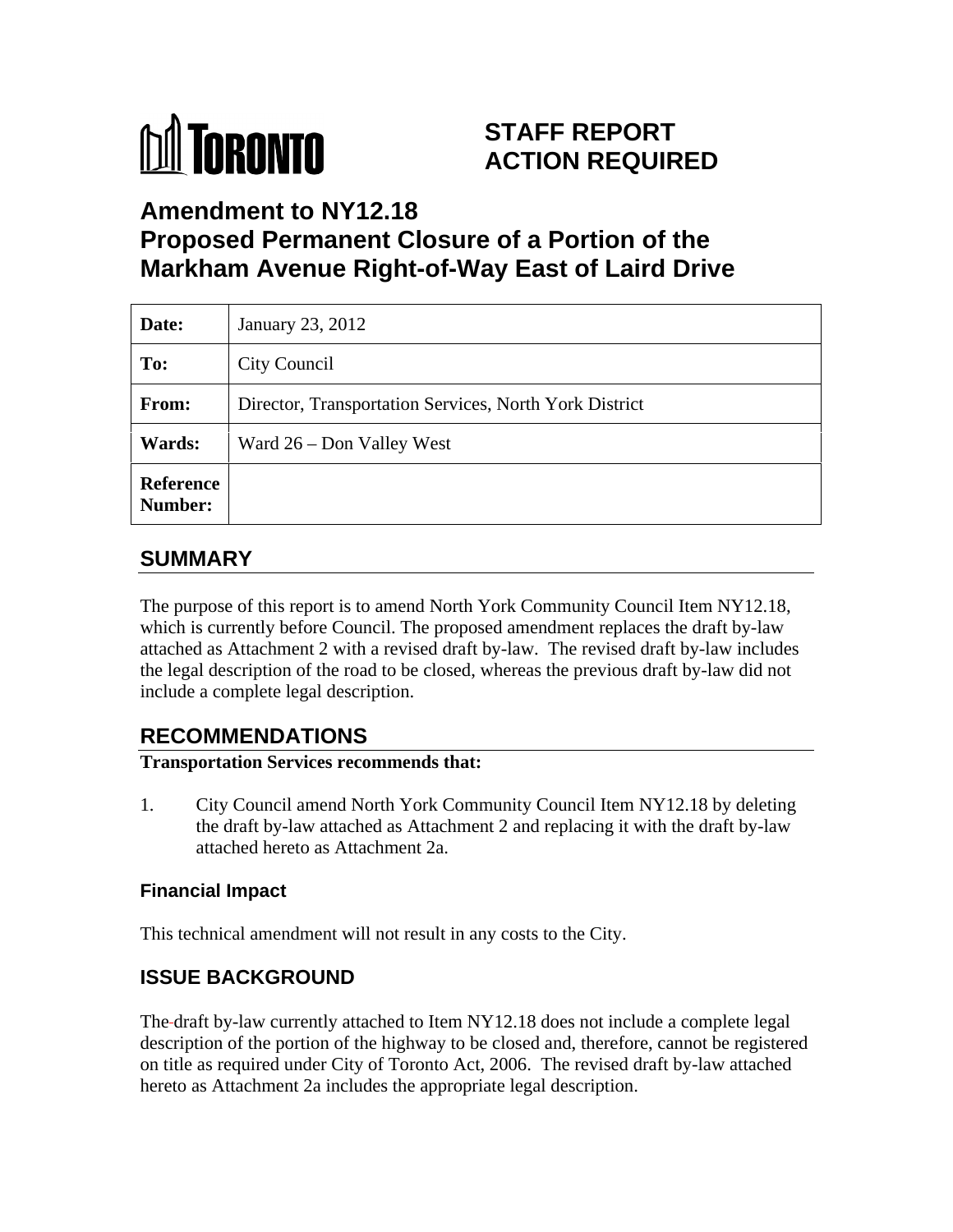

# **STAFF REPORT ACTION REQUIRED**

**Amendment to NY12.18**

# **Proposed Permanent Closure of a Portion of the Markham Avenue Right-of-Way East of Laird Drive**

| Date:                       | January 23, 2012                                       |
|-----------------------------|--------------------------------------------------------|
| To:                         | City Council                                           |
| From:                       | Director, Transportation Services, North York District |
| <b>Wards:</b>               | Ward 26 – Don Valley West                              |
| Reference<br><b>Number:</b> |                                                        |

## **SUMMARY**

The purpose of this report is to amend North York Community Council Item NY12.18, which is currently before Council. The proposed amendment replaces the draft by-law attached as Attachment 2 with a revised draft by-law. The revised draft by-law includes the legal description of the road to be closed, whereas the previous draft by-law did not include a complete legal description.

## **RECOMMENDATIONS**

#### **Transportation Services recommends that:**

1. City Council amend North York Community Council Item NY12.18 by deleting the draft by-law attached as Attachment 2 and replacing it with the draft by-law attached hereto as Attachment 2a.

#### **Financial Impact**

This technical amendment will not result in any costs to the City.

### **ISSUE BACKGROUND**

The draft by-law currently attached to Item NY12.18 does not include a complete legal description of the portion of the highway to be closed and, therefore, cannot be registered on title as required under City of Toronto Act, 2006. The revised draft by-law attached hereto as Attachment 2a includes the appropriate legal description.